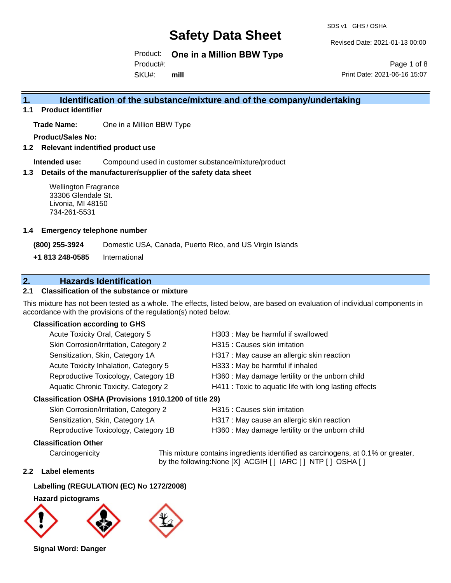SDS v1 GHS / OSHA

Revised Date: 2021-01-13 00:00

Product: **One in a Million BBW Type** 

Product#:

SKU#: **mill**

Page 1 of 8 Print Date: 2021-06-16 15:07

## **1. Identification of the substance/mixture and of the company/undertaking**

**1.1 Product identifier**

**Trade Name:** One in a Million BBW Type

**Product/Sales No:**

**1.2 Relevant indentified product use**

**Intended use:** Compound used in customer substance/mixture/product

### **1.3 Details of the manufacturer/supplier of the safety data sheet**

Wellington Fragrance 33306 Glendale St. Livonia, MI 48150 734-261-5531

#### **1.4 Emergency telephone number**

**(800) 255-3924** Domestic USA, Canada, Puerto Rico, and US Virgin Islands

**+1 813 248-0585** International

## **2. Hazards Identification**

### **2.1 Classification of the substance or mixture**

This mixture has not been tested as a whole. The effects, listed below, are based on evaluation of individual components in accordance with the provisions of the regulation(s) noted below.

### **Classification according to GHS**

| Acute Toxicity Oral, Category 5                      | H303 : May be harmful if swallowed                     |
|------------------------------------------------------|--------------------------------------------------------|
| Skin Corrosion/Irritation, Category 2                | H315 : Causes skin irritation                          |
| Sensitization, Skin, Category 1A                     | H317 : May cause an allergic skin reaction             |
| Acute Toxicity Inhalation, Category 5                | H333: May be harmful if inhaled                        |
| Reproductive Toxicology, Category 1B                 | H360 : May damage fertility or the unborn child        |
| Aquatic Chronic Toxicity, Category 2                 | H411 : Toxic to aquatic life with long lasting effects |
| resification OSHA (Provisions 1910 1200 of title 29) |                                                        |

### **Classification OSHA (Provisions 1910.1200 of title 29)**

| Skin Corrosion/Irritation, Category 2 | H315 : Causes skin irritation                   |
|---------------------------------------|-------------------------------------------------|
| Sensitization, Skin, Category 1A      | H317 : May cause an allergic skin reaction      |
| Reproductive Toxicology, Category 1B  | H360 : May damage fertility or the unborn child |

### **Classification Other**

Carcinogenicity This mixture contains ingredients identified as carcinogens, at 0.1% or greater, by the following:None [X] ACGIH [ ] IARC [ ] NTP [ ] OSHA [ ]

### **2.2 Label elements**

### **Labelling (REGULATION (EC) No 1272/2008)**

**Hazard pictograms**



**Signal Word: Danger**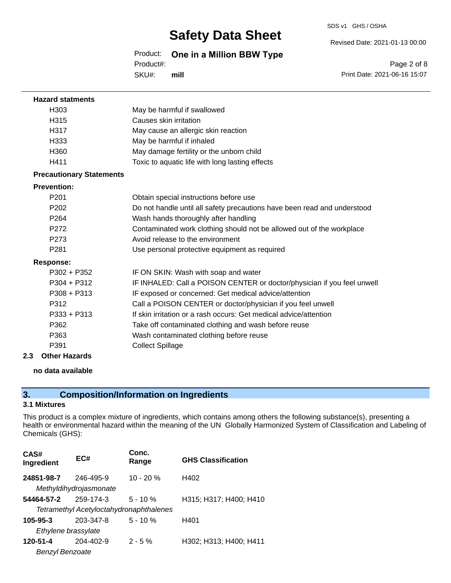SDS v1 GHS / OSHA

Revised Date: 2021-01-13 00:00

## Product: **One in a Million BBW Type**

Product#:

SKU#: **mill**

|                              | Page 2 of 8 |  |
|------------------------------|-------------|--|
| Print Date: 2021-06-16 15:07 |             |  |

| <b>Hazard statments</b>         |                                                                          |
|---------------------------------|--------------------------------------------------------------------------|
| H <sub>303</sub>                | May be harmful if swallowed                                              |
| H315                            | Causes skin irritation                                                   |
| H317                            | May cause an allergic skin reaction                                      |
| H333                            | May be harmful if inhaled                                                |
| H360                            | May damage fertility or the unborn child                                 |
| H411                            | Toxic to aquatic life with long lasting effects                          |
| <b>Precautionary Statements</b> |                                                                          |
| <b>Prevention:</b>              |                                                                          |
| P <sub>201</sub>                | Obtain special instructions before use                                   |
| P <sub>202</sub>                | Do not handle until all safety precautions have been read and understood |
| P <sub>264</sub>                | Wash hands thoroughly after handling                                     |
| P <sub>272</sub>                | Contaminated work clothing should not be allowed out of the workplace    |
| P <sub>273</sub>                | Avoid release to the environment                                         |
| P <sub>281</sub>                | Use personal protective equipment as required                            |
| <b>Response:</b>                |                                                                          |
| $P302 + P352$                   | IF ON SKIN: Wash with soap and water                                     |
| $P304 + P312$                   | IF INHALED: Call a POISON CENTER or doctor/physician if you feel unwell  |
| $P308 + P313$                   | IF exposed or concerned: Get medical advice/attention                    |
| P312                            | Call a POISON CENTER or doctor/physician if you feel unwell              |
| $P333 + P313$                   | If skin irritation or a rash occurs: Get medical advice/attention        |
| P362                            | Take off contaminated clothing and wash before reuse                     |
| P363                            | Wash contaminated clothing before reuse                                  |
| P391                            | <b>Collect Spillage</b>                                                  |
| 2.3<br><b>Other Hazards</b>     |                                                                          |

#### **no data available**

## **3. Composition/Information on Ingredients**

### **3.1 Mixtures**

This product is a complex mixture of ingredients, which contains among others the following substance(s), presenting a health or environmental hazard within the meaning of the UN Globally Harmonized System of Classification and Labeling of Chemicals (GHS):

| CAS#<br>Ingredient  | EC#                                     | Conc.<br>Range | <b>GHS Classification</b> |  |  |
|---------------------|-----------------------------------------|----------------|---------------------------|--|--|
| 24851-98-7          | 246-495-9                               | $10 - 20 %$    | H402                      |  |  |
|                     | Methyldihydrojasmonate                  |                |                           |  |  |
| 54464-57-2          | 259-174-3                               | $5 - 10%$      | H315; H317; H400; H410    |  |  |
|                     | Tetramethyl Acetyloctahydronaphthalenes |                |                           |  |  |
| $105 - 95 - 3$      | 203-347-8                               | $5 - 10%$      | H401                      |  |  |
| Ethylene brassylate |                                         |                |                           |  |  |
| 120-51-4            | 204-402-9                               | $2 - 5%$       | H302; H313; H400; H411    |  |  |
| Benzyl Benzoate     |                                         |                |                           |  |  |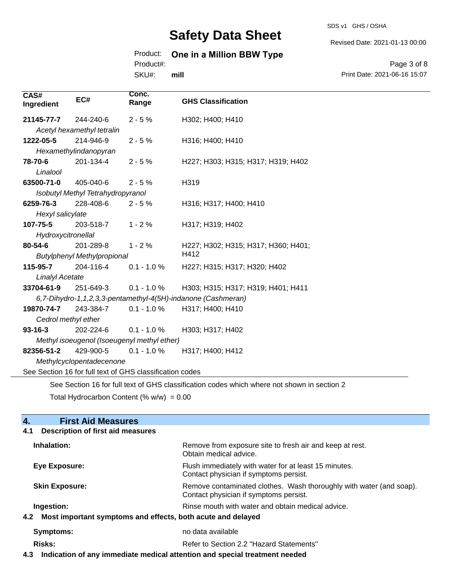#### SDS v1 GHS / OSHA

Revised Date: 2021-01-13 00:00

## Product: **One in a Million BBW Type**

Product#:

SKU#: **mill**

#### Page 3 of 8 Print Date: 2021-06-16 15:07

| CAS#<br>Ingredient                                       | EC#                                | Conc.<br>Range | <b>GHS Classification</b>                                                                   |
|----------------------------------------------------------|------------------------------------|----------------|---------------------------------------------------------------------------------------------|
| 21145-77-7                                               | 244-240-6                          | $2 - 5%$       | H302; H400; H410                                                                            |
|                                                          | Acetyl hexamethyl tetralin         |                |                                                                                             |
| 1222-05-5                                                | 214-946-9                          | $2 - 5%$       | H316; H400; H410                                                                            |
|                                                          | Hexamethylindanopyran              |                |                                                                                             |
| 78-70-6                                                  | 201-134-4                          | $2 - 5%$       | H227; H303; H315; H317; H319; H402                                                          |
| Linalool                                                 |                                    |                |                                                                                             |
| 63500-71-0                                               | 405-040-6                          | $2 - 5%$       | H319                                                                                        |
|                                                          | Isobutyl Methyl Tetrahydropyranol  |                |                                                                                             |
| 6259-76-3                                                | 228-408-6                          | $2 - 5%$       | H316; H317; H400; H410                                                                      |
| Hexyl salicylate                                         |                                    |                |                                                                                             |
| 107-75-5                                                 | 203-518-7                          | $1 - 2%$       | H317; H319; H402                                                                            |
| Hydroxycitronellal                                       |                                    |                |                                                                                             |
| 80-54-6                                                  | 201-289-8                          | $1 - 2%$       | H227; H302; H315; H317; H360; H401;                                                         |
|                                                          | <b>Butylphenyl Methylpropional</b> |                | H412                                                                                        |
| 115-95-7                                                 | 204-116-4                          | $0.1 - 1.0 %$  | H227; H315; H317; H320; H402                                                                |
| <b>Linalyl Acetate</b>                                   |                                    |                |                                                                                             |
| 33704-61-9                                               | 251-649-3                          | $0.1 - 1.0 %$  | H303; H315; H317; H319; H401; H411                                                          |
|                                                          |                                    |                | 6,7-Dihydro-1,1,2,3,3-pentamethyl-4(5H)-indanone (Cashmeran)                                |
| 19870-74-7                                               | 243-384-7                          | $0.1 - 1.0 %$  | H317; H400; H410                                                                            |
| Cedrol methyl ether                                      |                                    |                |                                                                                             |
| $93 - 16 - 3$                                            | 202-224-6                          | $0.1 - 1.0 %$  | H303; H317; H402                                                                            |
| Methyl isoeugenol (Isoeugenyl methyl ether)              |                                    |                |                                                                                             |
| 82356-51-2                                               | 429-900-5                          | $0.1 - 1.0 %$  | H317; H400; H412                                                                            |
| Methylcyclopentadecenone                                 |                                    |                |                                                                                             |
| See Section 16 for full text of GHS classification codes |                                    |                |                                                                                             |
|                                                          |                                    |                | See Section 16 for full text of GHS classification codes which where not shown in section 2 |

Total Hydrocarbon Content (%  $w/w$ ) = 0.00

# **4.** First Aid Measures

| Remove from exposure site to fresh air and keep at rest.<br>Obtain medical advice.                            |  |
|---------------------------------------------------------------------------------------------------------------|--|
| Flush immediately with water for at least 15 minutes.<br>Contact physician if symptoms persist.               |  |
| Remove contaminated clothes. Wash thoroughly with water (and soap).<br>Contact physician if symptoms persist. |  |
| Rinse mouth with water and obtain medical advice.                                                             |  |
| 4.2 Most important symptoms and effects, both acute and delayed                                               |  |
| no data available                                                                                             |  |
| Refer to Section 2.2 "Hazard Statements"                                                                      |  |
|                                                                                                               |  |

**4.3 Indication of any immediate medical attention and special treatment needed**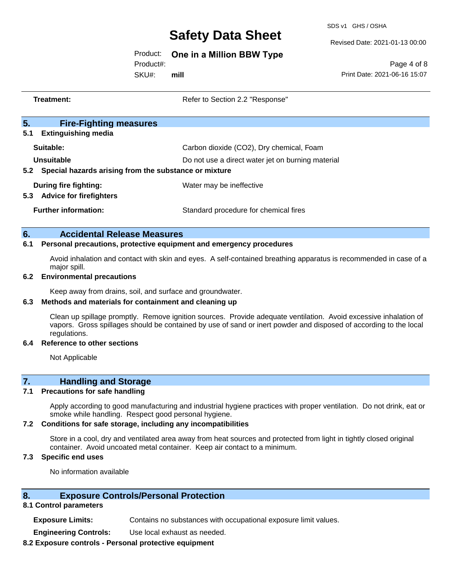SDS v1 GHS / OSHA

Revised Date: 2021-01-13 00:00

### Product: **One in a Million BBW Type**

Product#:

SKU#: **mill**

Page 4 of 8 Print Date: 2021-06-16 15:07

|     | <b>Treatment:</b>                                                                                                                                                                                                                                     | Refer to Section 2.2 "Response"                   |
|-----|-------------------------------------------------------------------------------------------------------------------------------------------------------------------------------------------------------------------------------------------------------|---------------------------------------------------|
| 5.  | <b>Fire-Fighting measures</b>                                                                                                                                                                                                                         |                                                   |
| 5.1 | <b>Extinguishing media</b>                                                                                                                                                                                                                            |                                                   |
|     | Suitable:                                                                                                                                                                                                                                             | Carbon dioxide (CO2), Dry chemical, Foam          |
|     | <b>Unsuitable</b>                                                                                                                                                                                                                                     | Do not use a direct water jet on burning material |
|     | 5.2 Special hazards arising from the substance or mixture                                                                                                                                                                                             |                                                   |
|     | <b>During fire fighting:</b>                                                                                                                                                                                                                          | Water may be ineffective                          |
| 5.3 | <b>Advice for firefighters</b>                                                                                                                                                                                                                        |                                                   |
|     | <b>Further information:</b>                                                                                                                                                                                                                           | Standard procedure for chemical fires             |
|     |                                                                                                                                                                                                                                                       |                                                   |
| 6.  | <b>Accidental Release Measures</b>                                                                                                                                                                                                                    |                                                   |
| 6.1 | Personal precautions, protective equipment and emergency procedures                                                                                                                                                                                   |                                                   |
|     | Avoid inhalation and contact with skin and eyes. A self-contained breathing apparatus is recommended in case of a                                                                                                                                     |                                                   |
| 6.2 | major spill.                                                                                                                                                                                                                                          |                                                   |
|     | <b>Environmental precautions</b>                                                                                                                                                                                                                      |                                                   |
| 6.3 | Keep away from drains, soil, and surface and groundwater.                                                                                                                                                                                             |                                                   |
|     | Methods and materials for containment and cleaning up                                                                                                                                                                                                 |                                                   |
|     | Clean up spillage promptly. Remove ignition sources. Provide adequate ventilation. Avoid excessive inhalation of<br>vapors. Gross spillages should be contained by use of sand or inert powder and disposed of according to the local<br>regulations. |                                                   |
| 6.4 | <b>Reference to other sections</b>                                                                                                                                                                                                                    |                                                   |
|     | Not Applicable                                                                                                                                                                                                                                        |                                                   |
| 7.  | <b>Handling and Storage</b>                                                                                                                                                                                                                           |                                                   |
| 7.1 | <b>Precautions for safe handling</b>                                                                                                                                                                                                                  |                                                   |

Apply according to good manufacturing and industrial hygiene practices with proper ventilation. Do not drink, eat or smoke while handling. Respect good personal hygiene.

#### **7.2 Conditions for safe storage, including any incompatibilities**

Store in a cool, dry and ventilated area away from heat sources and protected from light in tightly closed original container. Avoid uncoated metal container. Keep air contact to a minimum.

## **7.3 Specific end uses**

No information available

### **8. Exposure Controls/Personal Protection**

### **8.1 Control parameters**

**Exposure Limits:** Contains no substances with occupational exposure limit values.

**Engineering Controls:** Use local exhaust as needed.

#### **8.2 Exposure controls - Personal protective equipment**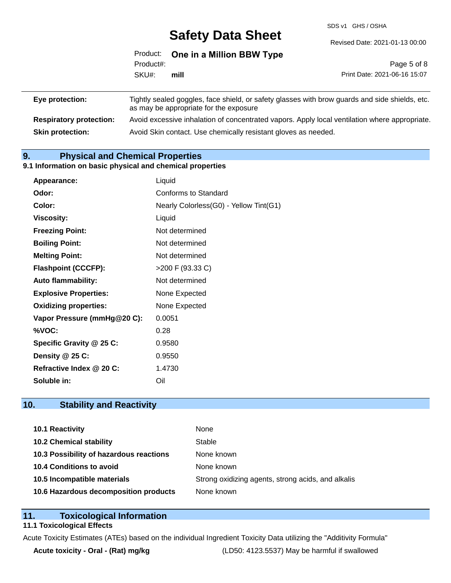SDS v1 GHS / OSHA

Revised Date: 2021-01-13 00:00

|                 | Product#:<br>SKU#: | Product: One in a Million BBW Type                                                             |                              |
|-----------------|--------------------|------------------------------------------------------------------------------------------------|------------------------------|
|                 |                    |                                                                                                | Page 5 of 8                  |
|                 |                    | mill                                                                                           | Print Date: 2021-06-16 15:07 |
| Eye protection: |                    | Tightly sealed goggles, face shield, or safety glasses with brow guards and side shields, etc. |                              |

|                                | as may be appropriate for the exposure                                                        |
|--------------------------------|-----------------------------------------------------------------------------------------------|
| <b>Respiratory protection:</b> | Avoid excessive inhalation of concentrated vapors. Apply local ventilation where appropriate. |
| <b>Skin protection:</b>        | Avoid Skin contact. Use chemically resistant gloves as needed.                                |

## **9. Physical and Chemical Properties**

#### **9.1 Information on basic physical and chemical properties**

| Appearance:                  | Liquid                                 |
|------------------------------|----------------------------------------|
| Odor:                        | Conforms to Standard                   |
| Color:                       | Nearly Colorless(G0) - Yellow Tint(G1) |
| <b>Viscosity:</b>            | Liquid                                 |
| <b>Freezing Point:</b>       | Not determined                         |
| <b>Boiling Point:</b>        | Not determined                         |
| <b>Melting Point:</b>        | Not determined                         |
| <b>Flashpoint (CCCFP):</b>   | >200 F (93.33 C)                       |
| <b>Auto flammability:</b>    | Not determined                         |
| <b>Explosive Properties:</b> | None Expected                          |
| <b>Oxidizing properties:</b> | None Expected                          |
| Vapor Pressure (mmHg@20 C):  | 0.0051                                 |
| %VOC:                        | 0.28                                   |
| Specific Gravity @ 25 C:     | 0.9580                                 |
| Density @ 25 C:              | 0.9550                                 |
| Refractive Index @ 20 C:     | 1.4730                                 |
| Soluble in:                  | Oil                                    |

## **10. Stability and Reactivity**

| 10.1 Reactivity                         | None                                               |
|-----------------------------------------|----------------------------------------------------|
| <b>10.2 Chemical stability</b>          | Stable                                             |
| 10.3 Possibility of hazardous reactions | None known                                         |
| 10.4 Conditions to avoid                | None known                                         |
| 10.5 Incompatible materials             | Strong oxidizing agents, strong acids, and alkalis |
| 10.6 Hazardous decomposition products   | None known                                         |

## **11. Toxicological Information**

### **11.1 Toxicological Effects**

Acute Toxicity Estimates (ATEs) based on the individual Ingredient Toxicity Data utilizing the "Additivity Formula"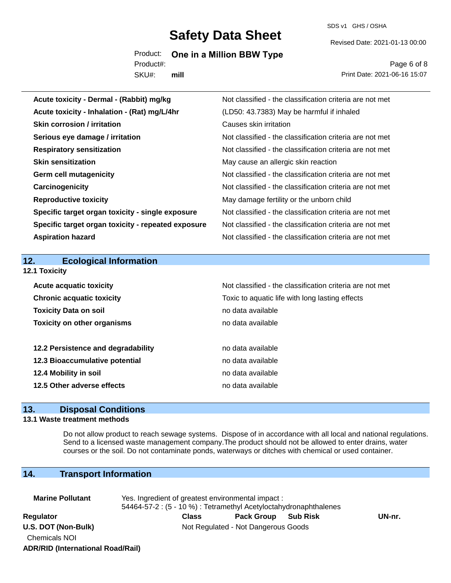SDS v1 GHS / OSHA

Revised Date: 2021-01-13 00:00

Product: **One in a Million BBW Type** 

SKU#: Product#: **mill**

Page 6 of 8 Print Date: 2021-06-16 15:07

| Acute toxicity - Dermal - (Rabbit) mg/kg           | Not classified - the classification criteria are not met |
|----------------------------------------------------|----------------------------------------------------------|
| Acute toxicity - Inhalation - (Rat) mg/L/4hr       | (LD50: 43.7383) May be harmful if inhaled                |
| <b>Skin corrosion / irritation</b>                 | Causes skin irritation                                   |
| Serious eye damage / irritation                    | Not classified - the classification criteria are not met |
| <b>Respiratory sensitization</b>                   | Not classified - the classification criteria are not met |
| <b>Skin sensitization</b>                          | May cause an allergic skin reaction                      |
| <b>Germ cell mutagenicity</b>                      | Not classified - the classification criteria are not met |
| Carcinogenicity                                    | Not classified - the classification criteria are not met |
| <b>Reproductive toxicity</b>                       | May damage fertility or the unborn child                 |
| Specific target organ toxicity - single exposure   | Not classified - the classification criteria are not met |
| Specific target organ toxicity - repeated exposure | Not classified - the classification criteria are not met |
| <b>Aspiration hazard</b>                           | Not classified - the classification criteria are not met |
|                                                    |                                                          |
|                                                    |                                                          |
| <b>Ecological Information</b><br>12.               |                                                          |
| 12.1 Toxicity                                      |                                                          |
| <b>Acute acquatic toxicity</b>                     | Not classified - the classification criteria are not met |
| <b>Chronic acquatic toxicity</b>                   | Toxic to aquatic life with long lasting effects          |
| <b>Toxicity Data on soil</b>                       | no data available                                        |
| <b>Toxicity on other organisms</b>                 | no data available                                        |
|                                                    |                                                          |
| 12.2 Persistence and degradability                 | no data available                                        |
| 12.3 Bioaccumulative potential                     | no data available                                        |
| 12.4 Mobility in soil                              | no data available                                        |
| 12.5 Other adverse effects                         | no data available                                        |

### **13. Disposal Conditions**

#### **13.1 Waste treatment methods**

Do not allow product to reach sewage systems. Dispose of in accordance with all local and national regulations. Send to a licensed waste management company.The product should not be allowed to enter drains, water courses or the soil. Do not contaminate ponds, waterways or ditches with chemical or used container.

## **14. Transport Information**

| <b>Marine Pollutant</b>                  | Yes. Ingredient of greatest environmental impact:<br>54464-57-2 : (5 - 10 %) : Tetramethyl Acetyloctahydronaphthalenes |       |                                     |  |        |
|------------------------------------------|------------------------------------------------------------------------------------------------------------------------|-------|-------------------------------------|--|--------|
| Regulator                                |                                                                                                                        | Class | Pack Group Sub Risk                 |  | UN-nr. |
| U.S. DOT (Non-Bulk)                      |                                                                                                                        |       | Not Regulated - Not Dangerous Goods |  |        |
| <b>Chemicals NOI</b>                     |                                                                                                                        |       |                                     |  |        |
| <b>ADR/RID (International Road/Rail)</b> |                                                                                                                        |       |                                     |  |        |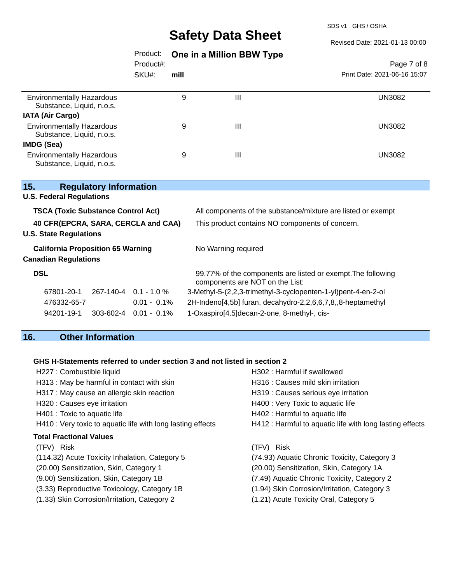SDS v1 GHS / OSHA

Revised Date: 2021-01-13 00:00

Page 7 of 8

## Product: **One in a Million BBW Type**

Product#:

SKU#: **mill**

|                                                               | SKU#: | mill |   | Print Date: 2021-06-16 15:07 |
|---------------------------------------------------------------|-------|------|---|------------------------------|
| <b>Environmentally Hazardous</b><br>Substance, Liquid, n.o.s. |       | 9    | Ш | UN3082                       |
| <b>IATA (Air Cargo)</b>                                       |       |      |   |                              |
| <b>Environmentally Hazardous</b><br>Substance, Liquid, n.o.s. |       | 9    | Ш | UN3082                       |
| IMDG (Sea)                                                    |       |      |   |                              |
| <b>Environmentally Hazardous</b><br>Substance, Liquid, n.o.s. |       | 9    | Ш | UN3082                       |

| 15.                                 |                                           | <b>Regulatory Information</b> |                                                 |                                                                                                 |
|-------------------------------------|-------------------------------------------|-------------------------------|-------------------------------------------------|-------------------------------------------------------------------------------------------------|
|                                     | <b>U.S. Federal Regulations</b>           |                               |                                                 |                                                                                                 |
|                                     | <b>TSCA (Toxic Substance Control Act)</b> |                               |                                                 | All components of the substance/mixture are listed or exempt                                    |
| 40 CFR(EPCRA, SARA, CERCLA and CAA) |                                           |                               | This product contains NO components of concern. |                                                                                                 |
|                                     | <b>U.S. State Regulations</b>             |                               |                                                 |                                                                                                 |
|                                     | <b>California Proposition 65 Warning</b>  |                               |                                                 | No Warning required                                                                             |
|                                     | <b>Canadian Regulations</b>               |                               |                                                 |                                                                                                 |
| <b>DSL</b>                          |                                           |                               |                                                 | 99.77% of the components are listed or exempt. The following<br>components are NOT on the List: |
|                                     | 67801-20-1                                |                               | $267-140-4$ 0.1 - 1.0 %                         | 3-Methyl-5-(2,2,3-trimethyl-3-cyclopenten-1-yl)pent-4-en-2-ol                                   |
|                                     | 476332-65-7                               |                               | $0.01 - 0.1\%$                                  | 2H-Indeno[4,5b] furan, decahydro-2,2,6,6,7,8,,8-heptamethyl                                     |
|                                     | 94201-19-1                                |                               | $303 - 602 - 4$ 0.01 - 0.1%                     | 1-Oxaspiro[4.5] decan-2-one, 8-methyl-, cis-                                                    |
|                                     |                                           |                               |                                                 |                                                                                                 |

## **16. Other Information**

### **GHS H-Statements referred to under section 3 and not listed in section 2**

| H227 : Combustible liquid                                   | H302 : Harmful if swallowed                              |
|-------------------------------------------------------------|----------------------------------------------------------|
| H313 : May be harmful in contact with skin                  | H316 : Causes mild skin irritation                       |
| H317 : May cause an allergic skin reaction                  | H319 : Causes serious eye irritation                     |
| H320 : Causes eye irritation                                | H400 : Very Toxic to aquatic life                        |
| H401 : Toxic to aquatic life                                | H402 : Harmful to aquatic life                           |
| H410 : Very toxic to aquatic life with long lasting effects | H412 : Harmful to aquatic life with long lasting effects |
| <b>Total Fractional Values</b>                              |                                                          |
| (TFV) Risk                                                  | Risk<br>(TFV)                                            |
| (114.32) Acute Toxicity Inhalation, Category 5              | (74.93) Aquatic Chronic Toxicity, Category 3             |
| (20.00) Sensitization, Skin, Category 1                     | (20.00) Sensitization, Skin, Category 1A                 |
| (9.00) Sensitization, Skin, Category 1B                     | (7.49) Aquatic Chronic Toxicity, Category 2              |
| (3.33) Reproductive Toxicology, Category 1B                 | (1.94) Skin Corrosion/Irritation, Category 3             |
| (1.33) Skin Corrosion/Irritation, Category 2                | (1.21) Acute Toxicity Oral, Category 5                   |
|                                                             |                                                          |